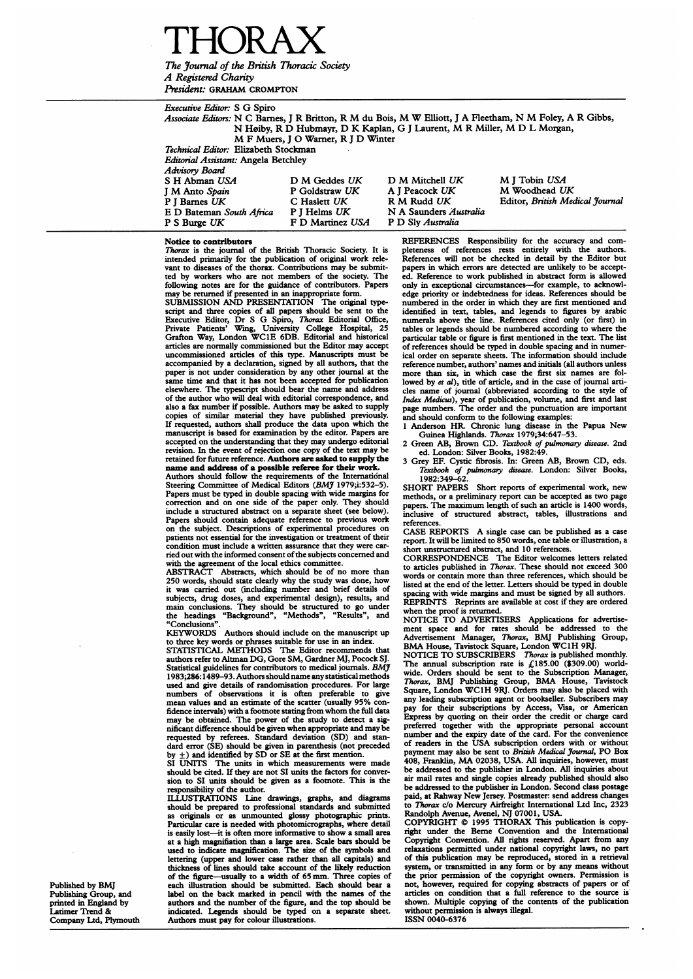-IC)R A

The Journal of the British Thoracic Society A Registered Charity President: GRAHAM CROMPTON

Executive Editor: <sup>S</sup> G Spiro Associate Editors: N <sup>C</sup> Barnes, <sup>J</sup> R Britton, R M du Bois, M W Elliott, <sup>J</sup> A Fleetham, N M Foley, A R Gibbs, N H0iby, R D Hubmayr, D K Kaplan, G <sup>J</sup> Laurent, M R Miller, M D <sup>L</sup> Morgan, M F Muers, J O Warner, R J D Winter Technical Editor: Elizabeth Stockman Editorial Assistant: Angela Betchley Advisory Board S H Abman USA D M Geddes UK D M Mitchell UK M J Tobin USA<br>
J M Anto Spain P Goldstraw UK A J Peacock UK M Woodhead U. J M Anto Spain **P** Goldstraw UK A J Peacock UK M Woodhead UK P J Barnes UK C Haslett UK R M Rudd UK Editor, British Mea C Haslett UK R M Rudd UK Editor, British Medical Journal<br>P J Helms UK N A Saunders Australia E D Bateman South Africa P J Helms UK N A Saunders Au<br>P S Burge UK F D Martinez USA P D Sly Australia

#### Notice to contributors

*Thorax* is the journal of the British Thoracic Society. It is intended primarily for the publication of original work relevant to diseases of the thorax. Contributions may be submitted by workers who are not members of the society. The following notes are for the guidance of contributors. Papers may be returned if presented in an inappropriate form. SUBMISSION AND PRESENTATION The original type-

F D Martinez USA

script and three copies of all papers should be sent to the<br>Executive Editor, Dr S G Spiro, Thorax Editorial Office,<br>Private Patients' Wing, University College Hospital, 25<br>Grafton Way, London WC1E 6DB. Editorial and histo articles are normally commissioned but the Editor may accept uncommissioned articles of this type. Manuscripts must be accompanied by a declaration, signed by all authors, that the paper is not under consideration by any other journal at the same time and that it has not been accepted for publication elsewhere. The typescript should bear the name and address of the author who will deal with editorial correspondence, and also <sup>a</sup> fax number if possible. Authors may be asked to supply copies of similar material they have published previously. If requested, authors shall produce the data upon which the manuscript is based for examination by the editor. Papers are accepted on the understanding that they may undergo editorial revision. In the event of rejection one copy of the text may retained for future reference. Authors are asked to supply the name and address of a possible referee for their work.

Authors should follow the requirements of the International Steering Committee of Medical Editors (BMJ 1979;i:532-5). Papers must be typed in double spacing with wide margins for correction and on one side of the paper only. They should include a structured abstract on a separate sheet (see below). Papers should contain adequate reference to previous work on the subject. Descriptions of experimental procedures on patients not essential for the investigation or treatment of their condition must include a written assurance that they were carried out with the informed consent of the subjects concerned and

with the agreement of the local ethics committee. ABSTRACT Abstracts, which should be of no more than 250 words, should state clearly why the study was done, how it was carried out (including number and brief details of subjects, drug doses, and experimental design), results, and main conclusions. They should be structured to go under the headings "Background", "Methods", "Results", and "Conclusions".

KEYWORDS Authors should include on the manuscript up

to three key words or phrases suitable for use in an index. STATISTICAL METHODS The Editor recommends that authors refer to Altman DG, Gore SM, Gardner MJ, Pocock SJ. Statistical guidelines for contributors to medical journals. BMJ<br>1983;286:1489–93. Authors should name any statistical methods used and give details of randomisation procedures. For large numbers of observations it is often preferable to give mean values and an estimate of the scatter (usually 95% confidence intervals) with <sup>a</sup> footnote stating from whom the full data may be obtained. The power of the study to detect <sup>a</sup> sig-nificant difference should be given when appropriate and maybe requested by referees. Standard deviation (SD) and stan-dard error (SE) should be given in parenthesis (not preceded by ±) and identified by SD or SE at the first mention. SI UNITS The units in which measurements were made

should be cited. If they are not SI units the factors for conver-sion to SI units should be given as a footnote. This is the responsibility of the author.

ILLUST1RATIONS Line drawings, graphs, and diagrams should be prepared to professional standards and submitted as originals or as unmounted glossy photographic prints. Particular care is needed with photomicrographs, where detail is easily lost-it is often more informative to show a small area at a high magnifiation than a large area. Scale bars should be used to indicate magnification. The size of the symbols and lettering (upper and lower case rather than all capitals) and thickness of lines should take account of the likely reduction of the figure-usually to <sup>a</sup> width of 65 mm. Three copies of each illustration should be submitted. Each should bear a label on the back marked in pencil with the names of the authors and the number of the figure, and the top should be indicated. Legends should be typed on a separate sheet. Authors must pay for colour illustrations.

REFERENCES Responsibility for the accuracy and completeness of references rests entirely with the authors. References will not be checked in detail by the Editor but papers in which errors are detected are unlikely to be accepted. Reference to work published in abstract form is allowed only in exceptional circumstances-for example, to acknowledge priority or indebtedness for ideas. References should be numbered in the order in which they are first mentioned and identified in text, tables, and legends to figures by arabic numerals above the line. References cited only (or first) in tables or legends should be numbered according to where the particular table or figure is first mentioned in the text. The list of references should be typed in double spacing and in numerical order on separate sheets. The information should include reference number, authors' names and initials (all authors unless more than six, in which case the first six names are followed by *et al*), title of article, and in the case of journal articles name of joumal (abbreviated according to the style of Index Medicus), year of publication, volume, and first and last page numbers. The order and the punctuation are important and should conform to the following examples:

<sup>1</sup> Anderson HR. Chronic lung disease in the Papua New Guinea Highlands. Thorax 1979;34:647-53.

Green AB, Brown CD. Textbook of pulmonary disease. 2nd

ed. London: Silver Books, 1982:49. 3 Grey EF. Cystic fibrosis. In: Green AB, Brown CD, eds. Textbook of pulmonary disease. London: Silver Books, 1982:349-62.

SHORT PAPERS Short reports of experimental work, new methods, or <sup>a</sup> preliminary report can be accepted as two page papers. The maximum length of such an article is 1400 words, inclusive of structured abstract, tables, illustrations and references.

CASE REPORTS A single case can be published as <sup>a</sup> case report. It will be limited to 850 words, one table or illustration, a short unstructured abstract, and 10 references.

CORRESPONDENCE The Editor welcomes letters related to articles published in Thorax. These should not exceed 300 words or contain more than three references, which should be listed at the end of the letter. Letters should be typed in double spacing with wide margins and must be signed by all authors. REPRINTS Reprints are available at cost if they are ordered when the proof is returned.<br>NOTICE TO ADVERTI

TO ADVERTISERS Applications for advertise-

ment space and for rates should be addressed to the<br>Advertisement Manager, *Thorax*, BMJ Publishing Group,<br>BMA House, Tavistock Square, London WC1H 9RJ.<br>NOTICE TO SUBSCRIBERS *Thorax* is published monthly.<br>The annual subs Thorax, BMJ Publishing Group, BMA House, Tavistock Square, London WC1H 9RJ. Orders may also be placed with any leading subscription agent or bookseller. Subscribers may pay for their subscriptions by Access, Visa, or American Express by quoting on their order the credit or charge card preferred together with the appropriate personal account number and the expiry date of the card. For the convenience of readers in the USA subscription orders with or without<br>payment may also be sent to *British Medical Journal*, PO Box<br>408, Franklin, MA 02038, USA. All inquiries, however, must<br>be addressed to the publisher in London. Al air mail rates and single copies already published should also be addressed to the publisher in London. Second class postage paid, at Rahway New Jersey. Postmaster: send address changes to Thorax c/o Mercury Airfreight International Ltd Inc, 2323 Randolph Avenue, Avenel, NJ 07001, USA. COPYRIGHT © <sup>1995</sup> THORAX This publication is copy-

right under the Berne Convention and the International Copyright Convention. All rights reserved. Apart from any relaxations permitted under national copyright laws, no part of this publication may be reproduced, stored in a retrieval system, or transmitted in any form or by any means without the prior permission of the copyright owners. Permission is not, however, required for copying abstracts of papers or of articles on condition that a full reference to the source is shown. Multiple copying of the contents of the publication without permission is always illegal. ISSN 0040-6376

Published by BMJ Publishing Group, and printed in England by Latimer Trend & Company Ltd, Plymouth